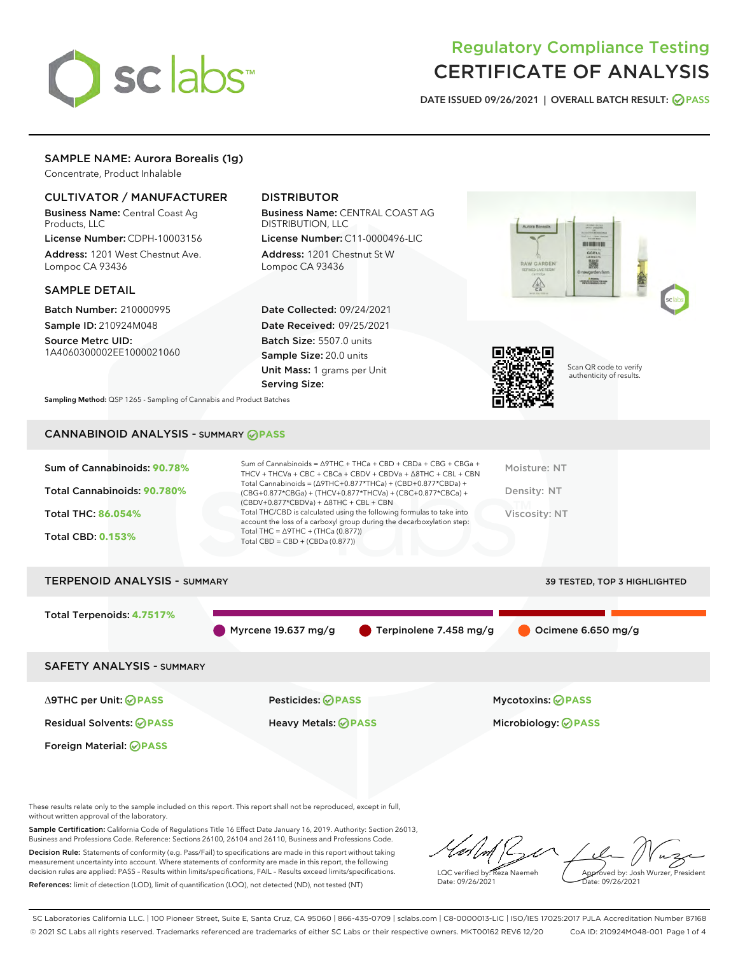

# Regulatory Compliance Testing CERTIFICATE OF ANALYSIS

DATE ISSUED 09/26/2021 | OVERALL BATCH RESULT: @ PASS

# SAMPLE NAME: Aurora Borealis (1g)

Concentrate, Product Inhalable

## CULTIVATOR / MANUFACTURER

Business Name: Central Coast Ag Products, LLC

License Number: CDPH-10003156 Address: 1201 West Chestnut Ave. Lompoc CA 93436

#### SAMPLE DETAIL

Batch Number: 210000995 Sample ID: 210924M048

Source Metrc UID: 1A4060300002EE1000021060

# DISTRIBUTOR

Business Name: CENTRAL COAST AG DISTRIBUTION, LLC

License Number: C11-0000496-LIC Address: 1201 Chestnut St W Lompoc CA 93436

Date Collected: 09/24/2021 Date Received: 09/25/2021 Batch Size: 5507.0 units Sample Size: 20.0 units Unit Mass: 1 grams per Unit Serving Size:





Scan QR code to verify authenticity of results.

Sampling Method: QSP 1265 - Sampling of Cannabis and Product Batches

# CANNABINOID ANALYSIS - SUMMARY **PASS**

| Sum of Cannabinoids: 90.78%<br>Total Cannabinoids: 90.780%<br><b>Total THC: 86.054%</b><br><b>Total CBD: 0.153%</b> | Sum of Cannabinoids = $\triangle$ 9THC + THCa + CBD + CBDa + CBG + CBGa +<br>THCV + THCVa + CBC + CBCa + CBDV + CBDVa + $\Delta$ 8THC + CBL + CBN<br>Total Cannabinoids = $(\Delta$ 9THC+0.877*THCa) + (CBD+0.877*CBDa) +<br>(CBG+0.877*CBGa) + (THCV+0.877*THCVa) + (CBC+0.877*CBCa) +<br>$(CBDV+0.877*CBDVa) + \Delta 8THC + CBL + CBN$<br>Total THC/CBD is calculated using the following formulas to take into<br>account the loss of a carboxyl group during the decarboxylation step:<br>Total THC = $\triangle$ 9THC + (THCa (0.877))<br>Total CBD = $CBD + (CBDa (0.877))$ | Moisture: NT<br>Density: NT<br><b>Viscosity: NT</b> |
|---------------------------------------------------------------------------------------------------------------------|------------------------------------------------------------------------------------------------------------------------------------------------------------------------------------------------------------------------------------------------------------------------------------------------------------------------------------------------------------------------------------------------------------------------------------------------------------------------------------------------------------------------------------------------------------------------------------|-----------------------------------------------------|
| <b>TERPENOID ANALYSIS - SUMMARY</b>                                                                                 |                                                                                                                                                                                                                                                                                                                                                                                                                                                                                                                                                                                    | 39 TESTED, TOP 3 HIGHLIGHTED                        |
| Total Terpenoids: 4.7517%                                                                                           | Myrcene 19.637 mg/g<br>Terpinolene 7.458 mg/g                                                                                                                                                                                                                                                                                                                                                                                                                                                                                                                                      | Ocimene 6.650 mg/g                                  |

SAFETY ANALYSIS - SUMMARY

Δ9THC per Unit: **PASS** Pesticides: **PASS** Mycotoxins: **PASS**

Foreign Material: **PASS**

Residual Solvents: **PASS** Heavy Metals: **PASS** Microbiology: **PASS**

These results relate only to the sample included on this report. This report shall not be reproduced, except in full, without written approval of the laboratory.

Sample Certification: California Code of Regulations Title 16 Effect Date January 16, 2019. Authority: Section 26013, Business and Professions Code. Reference: Sections 26100, 26104 and 26110, Business and Professions Code. Decision Rule: Statements of conformity (e.g. Pass/Fail) to specifications are made in this report without taking measurement uncertainty into account. Where statements of conformity are made in this report, the following

References: limit of detection (LOD), limit of quantification (LOQ), not detected (ND), not tested (NT)

decision rules are applied: PASS – Results within limits/specifications, FAIL – Results exceed limits/specifications.

LQC verified by: Reza Naemeh Date: 09/26/2021 Approved by: Josh Wurzer, President ate: 09/26/2021

SC Laboratories California LLC. | 100 Pioneer Street, Suite E, Santa Cruz, CA 95060 | 866-435-0709 | sclabs.com | C8-0000013-LIC | ISO/IES 17025:2017 PJLA Accreditation Number 87168 © 2021 SC Labs all rights reserved. Trademarks referenced are trademarks of either SC Labs or their respective owners. MKT00162 REV6 12/20 CoA ID: 210924M048-001 Page 1 of 4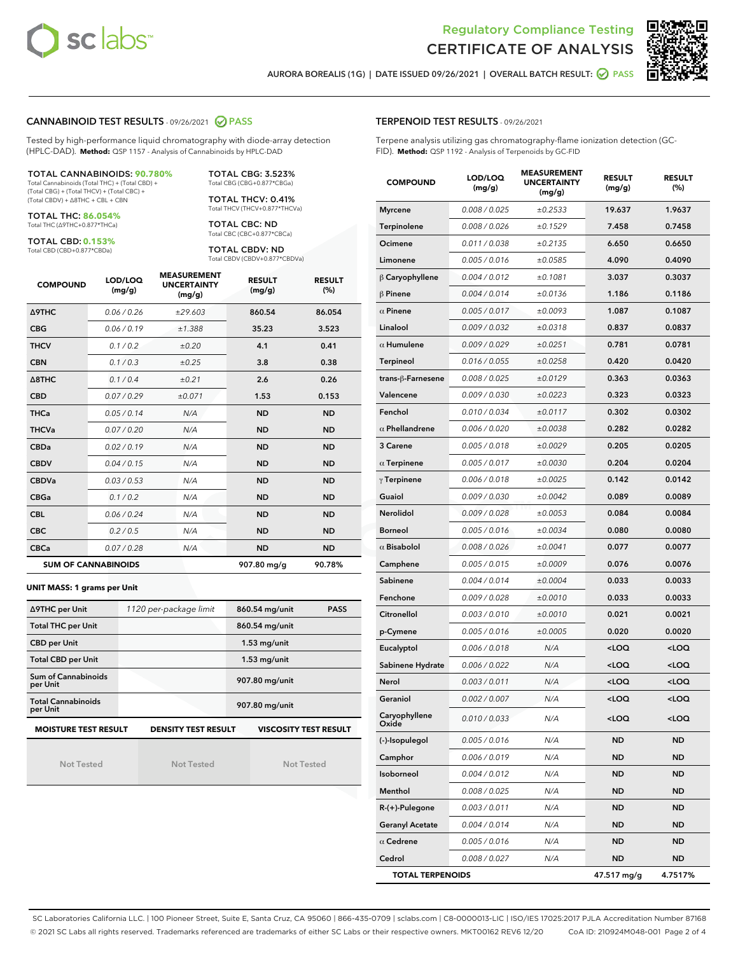



AURORA BOREALIS (1G) | DATE ISSUED 09/26/2021 | OVERALL BATCH RESULT: 2 PASS

## CANNABINOID TEST RESULTS - 09/26/2021 2 PASS

Tested by high-performance liquid chromatography with diode-array detection (HPLC-DAD). **Method:** QSP 1157 - Analysis of Cannabinoids by HPLC-DAD

#### TOTAL CANNABINOIDS: **90.780%**

Total Cannabinoids (Total THC) + (Total CBD) + (Total CBG) + (Total THCV) + (Total CBC) + (Total CBDV) + ∆8THC + CBL + CBN

TOTAL THC: **86.054%** Total THC (∆9THC+0.877\*THCa)

TOTAL CBD: **0.153%**

Total CBD (CBD+0.877\*CBDa)

TOTAL CBG: 3.523% Total CBG (CBG+0.877\*CBGa)

TOTAL THCV: 0.41% Total THCV (THCV+0.877\*THCVa)

TOTAL CBC: ND Total CBC (CBC+0.877\*CBCa)

TOTAL CBDV: ND Total CBDV (CBDV+0.877\*CBDVa)

| <b>COMPOUND</b>  | LOD/LOQ<br>(mg/g)          | <b>MEASUREMENT</b><br><b>UNCERTAINTY</b><br>(mg/g) | <b>RESULT</b><br>(mg/g) | <b>RESULT</b><br>(%) |
|------------------|----------------------------|----------------------------------------------------|-------------------------|----------------------|
| <b>A9THC</b>     | 0.06 / 0.26                | ±29.603                                            | 860.54                  | 86.054               |
| <b>CBG</b>       | 0.06 / 0.19                | ±1.388                                             | 35.23                   | 3.523                |
| <b>THCV</b>      | 0.1/0.2                    | ±0.20                                              | 4.1                     | 0.41                 |
| <b>CBN</b>       | 0.1/0.3                    | ±0.25                                              | 3.8                     | 0.38                 |
| $\triangle$ 8THC | 0.1/0.4                    | ±0.21                                              | 2.6                     | 0.26                 |
| <b>CBD</b>       | 0.07/0.29                  | ±0.071                                             | 1.53                    | 0.153                |
| <b>THCa</b>      | 0.05/0.14                  | N/A                                                | <b>ND</b>               | <b>ND</b>            |
| <b>THCVa</b>     | 0.07/0.20                  | N/A                                                | <b>ND</b>               | <b>ND</b>            |
| <b>CBDa</b>      | 0.02/0.19                  | N/A                                                | <b>ND</b>               | <b>ND</b>            |
| <b>CBDV</b>      | 0.04/0.15                  | N/A                                                | <b>ND</b>               | <b>ND</b>            |
| <b>CBDVa</b>     | 0.03/0.53                  | N/A                                                | <b>ND</b>               | <b>ND</b>            |
| <b>CBGa</b>      | 0.1 / 0.2                  | N/A                                                | <b>ND</b>               | <b>ND</b>            |
| <b>CBL</b>       | 0.06 / 0.24                | N/A                                                | <b>ND</b>               | <b>ND</b>            |
| <b>CBC</b>       | 0.2 / 0.5                  | N/A                                                | <b>ND</b>               | <b>ND</b>            |
| <b>CBCa</b>      | 0.07 / 0.28                | N/A                                                | <b>ND</b>               | <b>ND</b>            |
|                  | <b>SUM OF CANNABINOIDS</b> |                                                    | 907.80 mg/g             | 90.78%               |

#### **UNIT MASS: 1 grams per Unit**

| ∆9THC per Unit                                                                            | 1120 per-package limit | 860.54 mg/unit<br><b>PASS</b> |  |  |
|-------------------------------------------------------------------------------------------|------------------------|-------------------------------|--|--|
| <b>Total THC per Unit</b>                                                                 |                        | 860.54 mg/unit                |  |  |
| <b>CBD per Unit</b>                                                                       |                        | $1.53$ mg/unit                |  |  |
| <b>Total CBD per Unit</b>                                                                 |                        | $1.53$ mg/unit                |  |  |
| Sum of Cannabinoids<br>per Unit                                                           |                        | 907.80 mg/unit                |  |  |
| <b>Total Cannabinoids</b><br>per Unit                                                     |                        | 907.80 mg/unit                |  |  |
| <b>MOISTURE TEST RESULT</b><br><b>VISCOSITY TEST RESULT</b><br><b>DENSITY TEST RESULT</b> |                        |                               |  |  |

Not Tested

Not Tested

Not Tested

|  |  | <b>TERPENOID TEST RESULTS - 09/26/2021</b> |
|--|--|--------------------------------------------|
|--|--|--------------------------------------------|

Terpene analysis utilizing gas chromatography-flame ionization detection (GC-FID). **Method:** QSP 1192 - Analysis of Terpenoids by GC-FID

| <b>COMPOUND</b>         | LOD/LOQ<br>(mg/g) | <b>MEASUREMENT</b><br><b>UNCERTAINTY</b><br>(mg/g) | <b>RESULT</b><br>(mg/g)                         | <b>RESULT</b><br>(%) |
|-------------------------|-------------------|----------------------------------------------------|-------------------------------------------------|----------------------|
| <b>Myrcene</b>          | 0.008 / 0.025     | ±0.2533                                            | 19.637                                          | 1.9637               |
| Terpinolene             | 0.008 / 0.026     | ±0.1529                                            | 7.458                                           | 0.7458               |
| Ocimene                 | 0.011 / 0.038     | ±0.2135                                            | 6.650                                           | 0.6650               |
| Limonene                | 0.005 / 0.016     | ±0.0585                                            | 4.090                                           | 0.4090               |
| $\beta$ Caryophyllene   | 0.004 / 0.012     | ±0.1081                                            | 3.037                                           | 0.3037               |
| $\beta$ Pinene          | 0.004 / 0.014     | ±0.0136                                            | 1.186                                           | 0.1186               |
| $\alpha$ Pinene         | 0.005 / 0.017     | ±0.0093                                            | 1.087                                           | 0.1087               |
| Linalool                | 0.009 / 0.032     | ±0.0318                                            | 0.837                                           | 0.0837               |
| $\alpha$ Humulene       | 0.009/0.029       | ±0.0251                                            | 0.781                                           | 0.0781               |
| <b>Terpineol</b>        | 0.016 / 0.055     | ±0.0258                                            | 0.420                                           | 0.0420               |
| trans-β-Farnesene       | 0.008 / 0.025     | ±0.0129                                            | 0.363                                           | 0.0363               |
| Valencene               | 0.009 / 0.030     | ±0.0223                                            | 0.323                                           | 0.0323               |
| Fenchol                 | 0.010 / 0.034     | ±0.0117                                            | 0.302                                           | 0.0302               |
| $\alpha$ Phellandrene   | 0.006 / 0.020     | ±0.0038                                            | 0.282                                           | 0.0282               |
| 3 Carene                | 0.005 / 0.018     | ±0.0029                                            | 0.205                                           | 0.0205               |
| $\alpha$ Terpinene      | 0.005 / 0.017     | ±0.0030                                            | 0.204                                           | 0.0204               |
| $\gamma$ Terpinene      | 0.006 / 0.018     | ±0.0025                                            | 0.142                                           | 0.0142               |
| Guaiol                  | 0.009 / 0.030     | ±0.0042                                            | 0.089                                           | 0.0089               |
| Nerolidol               | 0.009 / 0.028     | ±0.0053                                            | 0.084                                           | 0.0084               |
| <b>Borneol</b>          | 0.005 / 0.016     | ±0.0034                                            | 0.080                                           | 0.0080               |
| $\alpha$ Bisabolol      | 0.008 / 0.026     | ±0.0041                                            | 0.077                                           | 0.0077               |
| Camphene                | 0.005 / 0.015     | ±0.0009                                            | 0.076                                           | 0.0076               |
| Sabinene                | 0.004 / 0.014     | ±0.0004                                            | 0.033                                           | 0.0033               |
| Fenchone                | 0.009 / 0.028     | ±0.0010                                            | 0.033                                           | 0.0033               |
| Citronellol             | 0.003 / 0.010     | ±0.0010                                            | 0.021                                           | 0.0021               |
| p-Cymene                | 0.005 / 0.016     | ±0.0005                                            | 0.020                                           | 0.0020               |
| Eucalyptol              | 0.006 / 0.018     | N/A                                                | <loq< th=""><th><loq< th=""></loq<></th></loq<> | <loq< th=""></loq<>  |
| Sabinene Hydrate        | 0.006 / 0.022     | N/A                                                | <loq< th=""><th><loq< th=""></loq<></th></loq<> | <loq< th=""></loq<>  |
| Nerol                   | 0.003 / 0.011     | N/A                                                | <loq< th=""><th><loq< th=""></loq<></th></loq<> | <loq< th=""></loq<>  |
| Geraniol                | 0.002 / 0.007     | N/A                                                | <loq< th=""><th><loq< th=""></loq<></th></loq<> | <loq< th=""></loq<>  |
| Caryophyllene<br>Oxide  | 0.010 / 0.033     | N/A                                                | <loq< th=""><th><loq< th=""></loq<></th></loq<> | <loq< th=""></loq<>  |
| (-)-Isopulegol          | 0.005 / 0.016     | N/A                                                | ND                                              | ND                   |
| Camphor                 | 0.006 / 0.019     | N/A                                                | ND                                              | ND                   |
| Isoborneol              | 0.004 / 0.012     | N/A                                                | ND                                              | ND                   |
| Menthol                 | 0.008 / 0.025     | N/A                                                | <b>ND</b>                                       | ND                   |
| R-(+)-Pulegone          | 0.003 / 0.011     | N/A                                                | ND                                              | ND                   |
| <b>Geranyl Acetate</b>  | 0.004 / 0.014     | N/A                                                | ND                                              | ND                   |
| $\alpha$ Cedrene        | 0.005 / 0.016     | N/A                                                | ND                                              | ND                   |
| Cedrol                  | 0.008 / 0.027     | N/A                                                | ND                                              | ND                   |
| <b>TOTAL TERPENOIDS</b> |                   |                                                    | 47.517 mg/g                                     | 4.7517%              |

SC Laboratories California LLC. | 100 Pioneer Street, Suite E, Santa Cruz, CA 95060 | 866-435-0709 | sclabs.com | C8-0000013-LIC | ISO/IES 17025:2017 PJLA Accreditation Number 87168 © 2021 SC Labs all rights reserved. Trademarks referenced are trademarks of either SC Labs or their respective owners. MKT00162 REV6 12/20 CoA ID: 210924M048-001 Page 2 of 4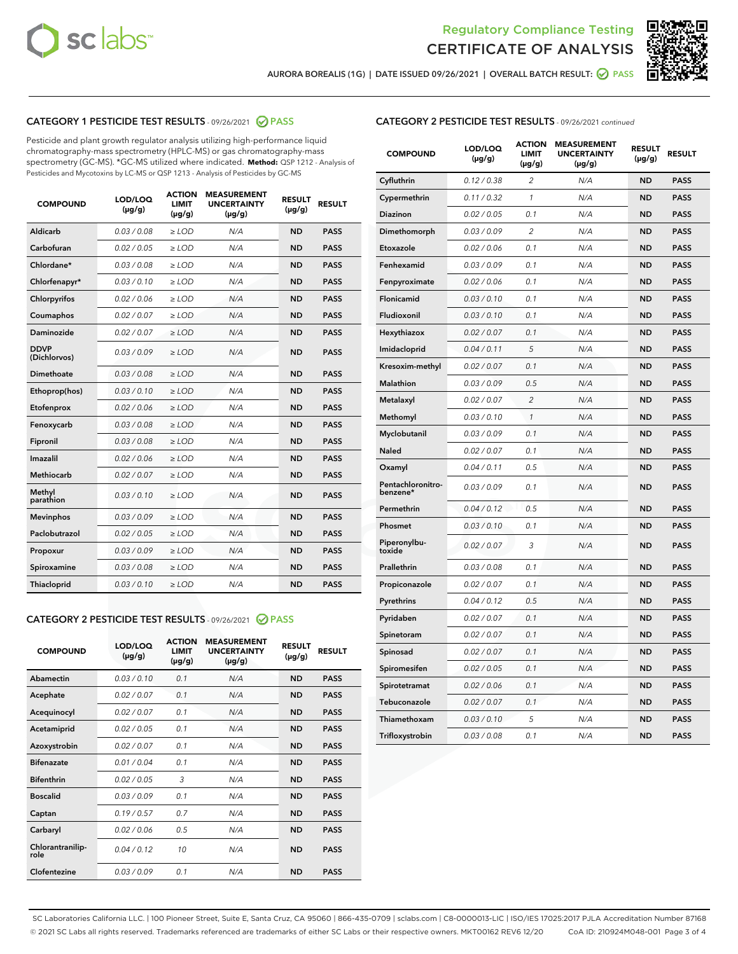



AURORA BOREALIS (1G) | DATE ISSUED 09/26/2021 | OVERALL BATCH RESULT: @ PASS

## CATEGORY 1 PESTICIDE TEST RESULTS - 09/26/2021 2 PASS

Pesticide and plant growth regulator analysis utilizing high-performance liquid chromatography-mass spectrometry (HPLC-MS) or gas chromatography-mass spectrometry (GC-MS). \*GC-MS utilized where indicated. **Method:** QSP 1212 - Analysis of Pesticides and Mycotoxins by LC-MS or QSP 1213 - Analysis of Pesticides by GC-MS

| <b>COMPOUND</b>             | LOD/LOQ<br>$(\mu g/g)$ | <b>ACTION</b><br><b>LIMIT</b><br>$(\mu g/g)$ | <b>MEASUREMENT</b><br><b>UNCERTAINTY</b><br>$(\mu g/g)$ | <b>RESULT</b><br>$(\mu g/g)$ | <b>RESULT</b> |
|-----------------------------|------------------------|----------------------------------------------|---------------------------------------------------------|------------------------------|---------------|
| Aldicarb                    | 0.03 / 0.08            | $\ge$ LOD                                    | N/A                                                     | <b>ND</b>                    | <b>PASS</b>   |
| Carbofuran                  | 0.02/0.05              | $\ge$ LOD                                    | N/A                                                     | <b>ND</b>                    | <b>PASS</b>   |
| Chlordane*                  | 0.03 / 0.08            | $\ge$ LOD                                    | N/A                                                     | <b>ND</b>                    | <b>PASS</b>   |
| Chlorfenapyr*               | 0.03/0.10              | $\ge$ LOD                                    | N/A                                                     | <b>ND</b>                    | <b>PASS</b>   |
| Chlorpyrifos                | 0.02 / 0.06            | $\ge$ LOD                                    | N/A                                                     | <b>ND</b>                    | <b>PASS</b>   |
| Coumaphos                   | 0.02 / 0.07            | $>$ LOD                                      | N/A                                                     | <b>ND</b>                    | <b>PASS</b>   |
| Daminozide                  | 0.02 / 0.07            | $\ge$ LOD                                    | N/A                                                     | <b>ND</b>                    | <b>PASS</b>   |
| <b>DDVP</b><br>(Dichlorvos) | 0.03/0.09              | $\ge$ LOD                                    | N/A                                                     | <b>ND</b>                    | <b>PASS</b>   |
| Dimethoate                  | 0.03 / 0.08            | $>$ LOD                                      | N/A                                                     | <b>ND</b>                    | <b>PASS</b>   |
| Ethoprop(hos)               | 0.03/0.10              | $\ge$ LOD                                    | N/A                                                     | <b>ND</b>                    | <b>PASS</b>   |
| Etofenprox                  | 0.02 / 0.06            | $\ge$ LOD                                    | N/A                                                     | <b>ND</b>                    | <b>PASS</b>   |
| Fenoxycarb                  | 0.03 / 0.08            | $>$ LOD                                      | N/A                                                     | <b>ND</b>                    | <b>PASS</b>   |
| Fipronil                    | 0.03/0.08              | $\ge$ LOD                                    | N/A                                                     | <b>ND</b>                    | <b>PASS</b>   |
| Imazalil                    | 0.02 / 0.06            | $>$ LOD                                      | N/A                                                     | <b>ND</b>                    | <b>PASS</b>   |
| Methiocarb                  | 0.02 / 0.07            | $\ge$ LOD                                    | N/A                                                     | <b>ND</b>                    | <b>PASS</b>   |
| Methyl<br>parathion         | 0.03/0.10              | $\ge$ LOD                                    | N/A                                                     | <b>ND</b>                    | <b>PASS</b>   |
| <b>Mevinphos</b>            | 0.03/0.09              | $\ge$ LOD                                    | N/A                                                     | <b>ND</b>                    | <b>PASS</b>   |
| Paclobutrazol               | 0.02 / 0.05            | $\ge$ LOD                                    | N/A                                                     | <b>ND</b>                    | <b>PASS</b>   |
| Propoxur                    | 0.03/0.09              | $\ge$ LOD                                    | N/A                                                     | <b>ND</b>                    | <b>PASS</b>   |
| Spiroxamine                 | 0.03 / 0.08            | $\ge$ LOD                                    | N/A                                                     | <b>ND</b>                    | <b>PASS</b>   |
| Thiacloprid                 | 0.03/0.10              | $\ge$ LOD                                    | N/A                                                     | <b>ND</b>                    | <b>PASS</b>   |

#### CATEGORY 2 PESTICIDE TEST RESULTS - 09/26/2021 @ PASS

| <b>COMPOUND</b>          | LOD/LOQ<br>$(\mu g/g)$ | <b>ACTION</b><br><b>LIMIT</b><br>$(\mu g/g)$ | <b>MEASUREMENT</b><br><b>UNCERTAINTY</b><br>$(\mu g/g)$ | <b>RESULT</b><br>$(\mu g/g)$ | <b>RESULT</b> |
|--------------------------|------------------------|----------------------------------------------|---------------------------------------------------------|------------------------------|---------------|
| Abamectin                | 0.03/0.10              | 0.1                                          | N/A                                                     | <b>ND</b>                    | <b>PASS</b>   |
| Acephate                 | 0.02/0.07              | 0.1                                          | N/A                                                     | <b>ND</b>                    | <b>PASS</b>   |
| Acequinocyl              | 0.02/0.07              | 0.1                                          | N/A                                                     | <b>ND</b>                    | <b>PASS</b>   |
| Acetamiprid              | 0.02/0.05              | 0.1                                          | N/A                                                     | <b>ND</b>                    | <b>PASS</b>   |
| Azoxystrobin             | 0.02/0.07              | 0.1                                          | N/A                                                     | <b>ND</b>                    | <b>PASS</b>   |
| <b>Bifenazate</b>        | 0.01/0.04              | 0.1                                          | N/A                                                     | <b>ND</b>                    | <b>PASS</b>   |
| <b>Bifenthrin</b>        | 0.02 / 0.05            | 3                                            | N/A                                                     | <b>ND</b>                    | <b>PASS</b>   |
| <b>Boscalid</b>          | 0.03/0.09              | 0.1                                          | N/A                                                     | <b>ND</b>                    | <b>PASS</b>   |
| Captan                   | 0.19/0.57              | 0.7                                          | N/A                                                     | <b>ND</b>                    | <b>PASS</b>   |
| Carbaryl                 | 0.02/0.06              | 0.5                                          | N/A                                                     | <b>ND</b>                    | <b>PASS</b>   |
| Chlorantranilip-<br>role | 0.04/0.12              | 10                                           | N/A                                                     | <b>ND</b>                    | <b>PASS</b>   |
| Clofentezine             | 0.03/0.09              | 0.1                                          | N/A                                                     | <b>ND</b>                    | <b>PASS</b>   |

## CATEGORY 2 PESTICIDE TEST RESULTS - 09/26/2021 continued

| <b>COMPOUND</b>               | LOD/LOQ<br>(µg/g) | <b>ACTION</b><br>LIMIT<br>$(\mu g/g)$ | <b>MEASUREMENT</b><br><b>UNCERTAINTY</b><br>(µg/g) | <b>RESULT</b><br>(µg/g) | <b>RESULT</b> |
|-------------------------------|-------------------|---------------------------------------|----------------------------------------------------|-------------------------|---------------|
| Cyfluthrin                    | 0.12 / 0.38       | 2                                     | N/A                                                | ND                      | <b>PASS</b>   |
| Cypermethrin                  | 0.11 / 0.32       | $\mathbf{1}$                          | N/A                                                | ND                      | <b>PASS</b>   |
| Diazinon                      | 0.02 / 0.05       | 0.1                                   | N/A                                                | ND                      | <b>PASS</b>   |
| Dimethomorph                  | 0.03 / 0.09       | $\overline{c}$                        | N/A                                                | ND                      | <b>PASS</b>   |
| Etoxazole                     | 0.02 / 0.06       | 0.1                                   | N/A                                                | ND                      | <b>PASS</b>   |
| Fenhexamid                    | 0.03 / 0.09       | 0.1                                   | N/A                                                | ND                      | <b>PASS</b>   |
| Fenpyroximate                 | 0.02 / 0.06       | 0.1                                   | N/A                                                | ND                      | <b>PASS</b>   |
| Flonicamid                    | 0.03 / 0.10       | 0.1                                   | N/A                                                | ND                      | <b>PASS</b>   |
| Fludioxonil                   | 0.03 / 0.10       | 0.1                                   | N/A                                                | ND                      | <b>PASS</b>   |
| Hexythiazox                   | 0.02 / 0.07       | 0.1                                   | N/A                                                | <b>ND</b>               | <b>PASS</b>   |
| Imidacloprid                  | 0.04 / 0.11       | 5                                     | N/A                                                | ND                      | <b>PASS</b>   |
| Kresoxim-methyl               | 0.02 / 0.07       | 0.1                                   | N/A                                                | ND                      | <b>PASS</b>   |
| Malathion                     | 0.03 / 0.09       | 0.5                                   | N/A                                                | ND                      | <b>PASS</b>   |
| Metalaxyl                     | 0.02 / 0.07       | $\overline{c}$                        | N/A                                                | <b>ND</b>               | <b>PASS</b>   |
| Methomyl                      | 0.03 / 0.10       | $\mathcal{I}$                         | N/A                                                | <b>ND</b>               | <b>PASS</b>   |
| Myclobutanil                  | 0.03 / 0.09       | 0.1                                   | N/A                                                | <b>ND</b>               | <b>PASS</b>   |
| Naled                         | 0.02 / 0.07       | 0.1                                   | N/A                                                | ND                      | <b>PASS</b>   |
| Oxamyl                        | 0.04 / 0.11       | 0.5                                   | N/A                                                | ND                      | PASS          |
| Pentachloronitro-<br>benzene* | 0.03 / 0.09       | 0.1                                   | N/A                                                | ND                      | <b>PASS</b>   |
| Permethrin                    | 0.04 / 0.12       | 0.5                                   | N/A                                                | <b>ND</b>               | <b>PASS</b>   |
| Phosmet                       | 0.03 / 0.10       | 0.1                                   | N/A                                                | <b>ND</b>               | <b>PASS</b>   |
| Piperonylbu-<br>toxide        | 0.02 / 0.07       | 3                                     | N/A                                                | ND                      | <b>PASS</b>   |
| Prallethrin                   | 0.03 / 0.08       | 0.1                                   | N/A                                                | <b>ND</b>               | <b>PASS</b>   |
| Propiconazole                 | 0.02 / 0.07       | 0.1                                   | N/A                                                | ND                      | <b>PASS</b>   |
| Pyrethrins                    | 0.04 / 0.12       | 0.5                                   | N/A                                                | ND                      | <b>PASS</b>   |
| Pyridaben                     | 0.02 / 0.07       | 0.1                                   | N/A                                                | ND                      | <b>PASS</b>   |
| Spinetoram                    | 0.02 / 0.07       | 0.1                                   | N/A                                                | ND                      | PASS          |
| Spinosad                      | 0.02 / 0.07       | 0.1                                   | N/A                                                | ND                      | PASS          |
| Spiromesifen                  | 0.02 / 0.05       | 0.1                                   | N/A                                                | <b>ND</b>               | <b>PASS</b>   |
| Spirotetramat                 | 0.02 / 0.06       | 0.1                                   | N/A                                                | ND                      | <b>PASS</b>   |
| Tebuconazole                  | 0.02 / 0.07       | 0.1                                   | N/A                                                | ND                      | PASS          |
| Thiamethoxam                  | 0.03 / 0.10       | 5                                     | N/A                                                | ND                      | <b>PASS</b>   |
| Trifloxystrobin               | 0.03 / 0.08       | 0.1                                   | N/A                                                | <b>ND</b>               | <b>PASS</b>   |

SC Laboratories California LLC. | 100 Pioneer Street, Suite E, Santa Cruz, CA 95060 | 866-435-0709 | sclabs.com | C8-0000013-LIC | ISO/IES 17025:2017 PJLA Accreditation Number 87168 © 2021 SC Labs all rights reserved. Trademarks referenced are trademarks of either SC Labs or their respective owners. MKT00162 REV6 12/20 CoA ID: 210924M048-001 Page 3 of 4